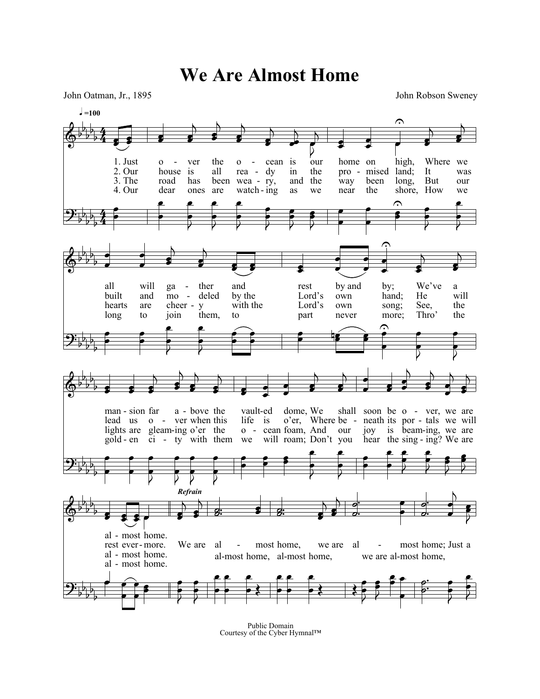**We Are Almost Home**

John Oatman, Jr., 1895 John Robson Sweney



Public Domain Courtesy of the Cyber Hymnal™